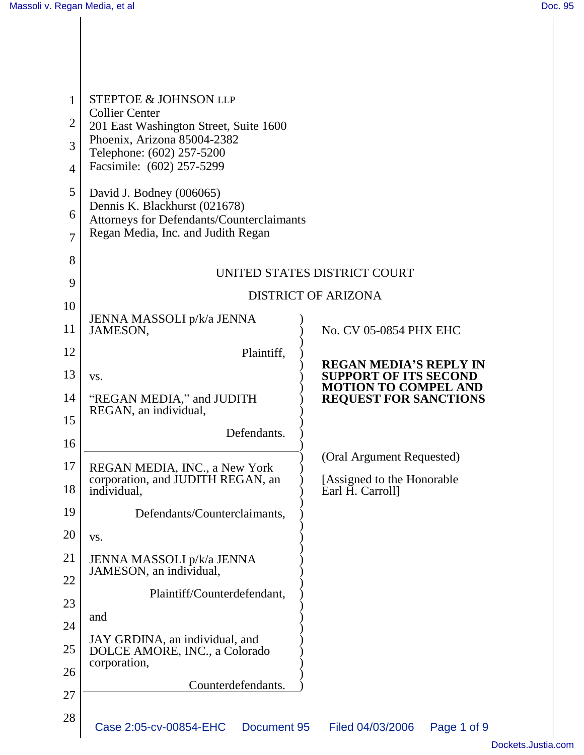| 1              | <b>STEPTOE &amp; JOHNSON LLP</b><br><b>Collier Center</b>                       |                                                               |
|----------------|---------------------------------------------------------------------------------|---------------------------------------------------------------|
| 2              | 201 East Washington Street, Suite 1600                                          |                                                               |
| 3              | Phoenix, Arizona 85004-2382<br>Telephone: (602) 257-5200                        |                                                               |
| $\overline{4}$ | Facsimile: (602) 257-5299                                                       |                                                               |
| 5              | David J. Bodney (006065)                                                        |                                                               |
| 6              | Dennis K. Blackhurst (021678)<br>Attorneys for Defendants/Counterclaimants      |                                                               |
| 7              | Regan Media, Inc. and Judith Regan                                              |                                                               |
| 8              |                                                                                 |                                                               |
| 9              | UNITED STATES DISTRICT COURT                                                    |                                                               |
| 10             |                                                                                 | <b>DISTRICT OF ARIZONA</b>                                    |
| 11             | JENNA MASSOLI p/k/a JENNA<br>JAMESON,                                           | No. CV 05-0854 PHX EHC                                        |
| 12             | Plaintiff,                                                                      |                                                               |
| 13             | VS.                                                                             | <b>REGAN MEDIA'S REPLY IN</b><br><b>SUPPORT OF ITS SECOND</b> |
| 14             | "REGAN MEDIA," and JUDITH<br>REGAN, an individual,                              | <b>MOTION TO COMPEL AND</b><br><b>REQUEST FOR SANCTIONS</b>   |
| 15             |                                                                                 |                                                               |
| 16             | Defendants.                                                                     |                                                               |
| 17             | REGAN MEDIA, INC., a New York                                                   | (Oral Argument Requested)                                     |
| 18             | corporation, and JUDITH REGAN, an<br>individual,                                | [Assigned to the Honorable<br>Earl H. Carroll]                |
| 19             | Defendants/Counterclaimants,                                                    |                                                               |
| 20             | VS.                                                                             |                                                               |
| 21             | JENNA MASSOLI p/k/a JENNA                                                       |                                                               |
| 22             | JAMESON, an individual,                                                         |                                                               |
| 23             | Plaintiff/Counterdefendant,                                                     |                                                               |
| 24             | and                                                                             |                                                               |
| 25             | JAY GRDINA, an individual, and<br>DOLCE AMORE, INC., a Colorado<br>corporation, |                                                               |
| 26             |                                                                                 |                                                               |
| 27             | Counterdefendants.                                                              |                                                               |
| 28             | Case 2:05-cv-00854-EHC<br>Document 95                                           | Filed 04/03/2006<br>Page 1 of 9                               |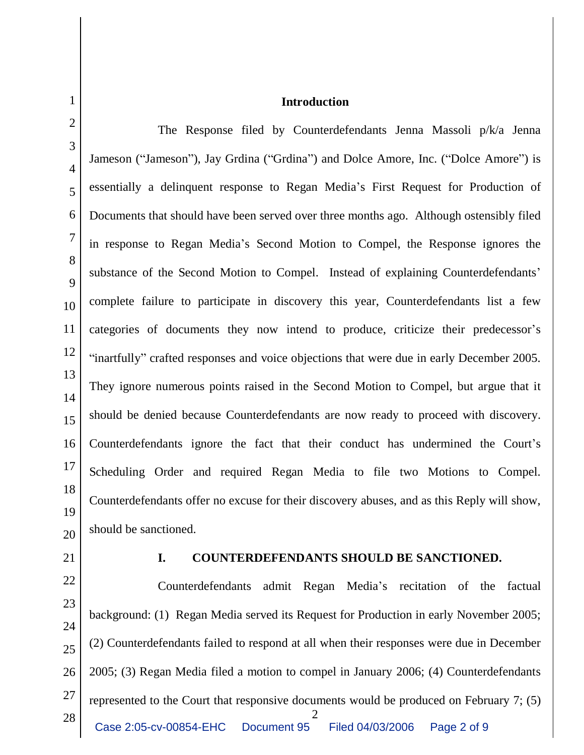2 3 4 5 6 7 8 9 10 11 12 13 14 15 16 17 18 19 20 The Response filed by Counterdefendants Jenna Massoli p/k/a Jenna Jameson ("Jameson"), Jay Grdina ("Grdina") and Dolce Amore, Inc. ("Dolce Amore") is essentially a delinquent response to Regan Media's First Request for Production of Documents that should have been served over three months ago. Although ostensibly filed in response to Regan Media's Second Motion to Compel, the Response ignores the substance of the Second Motion to Compel. Instead of explaining Counterdefendants' complete failure to participate in discovery this year, Counterdefendants list a few categories of documents they now intend to produce, criticize their predecessor's "inartfully" crafted responses and voice objections that were due in early December 2005. They ignore numerous points raised in the Second Motion to Compel, but argue that it should be denied because Counterdefendants are now ready to proceed with discovery. Counterdefendants ignore the fact that their conduct has undermined the Court's Scheduling Order and required Regan Media to file two Motions to Compel. Counterdefendants offer no excuse for their discovery abuses, and as this Reply will show, should be sanctioned.

21

1

## **I. COUNTERDEFENDANTS SHOULD BE SANCTIONED.**

2 22 23 24 25 26 27 28 Counterdefendants admit Regan Media's recitation of the factual background: (1) Regan Media served its Request for Production in early November 2005; (2) Counterdefendants failed to respond at all when their responses were due in December 2005; (3) Regan Media filed a motion to compel in January 2006; (4) Counterdefendants represented to the Court that responsive documents would be produced on February 7; (5) Case 2:05-cv-00854-EHC Document 95 Filed 04/03/2006 Page 2 of 9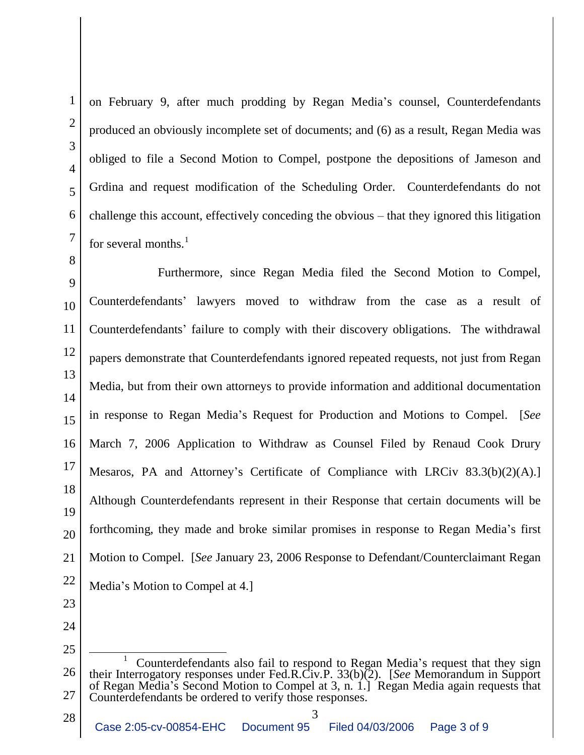on February 9, after much prodding by Regan Media's counsel, Counterdefendants produced an obviously incomplete set of documents; and (6) as a result, Regan Media was obliged to file a Second Motion to Compel, postpone the depositions of Jameson and Grdina and request modification of the Scheduling Order. Counterdefendants do not challenge this account, effectively conceding the obvious – that they ignored this litigation for several months. $<sup>1</sup>$ </sup>

Furthermore, since Regan Media filed the Second Motion to Compel, Counterdefendants' lawyers moved to withdraw from the case as a result of Counterdefendants' failure to comply with their discovery obligations. The withdrawal papers demonstrate that Counterdefendants ignored repeated requests, not just from Regan Media, but from their own attorneys to provide information and additional documentation in response to Regan Media's Request for Production and Motions to Compel. [*See*  March 7, 2006 Application to Withdraw as Counsel Filed by Renaud Cook Drury Mesaros, PA and Attorney's Certificate of Compliance with LRCiv 83.3(b)(2)(A).] Although Counterdefendants represent in their Response that certain documents will be forthcoming, they made and broke similar promises in response to Regan Media's first Motion to Compel. [*See* January 23, 2006 Response to Defendant/Counterclaimant Regan Media's Motion to Compel at 4.]

<sup>26</sup> 27 <sup>1</sup> Counterdefendants also fail to respond to Regan Media's request that they sign their Interrogatory responses under Fed.R.Civ.P. 33(b)(2). [*See* Memorandum in Support of Regan Media's Second Motion to Compel at 3, n. 1.] Regan Media again requests that Counterdefendants be ordered to verify those responses.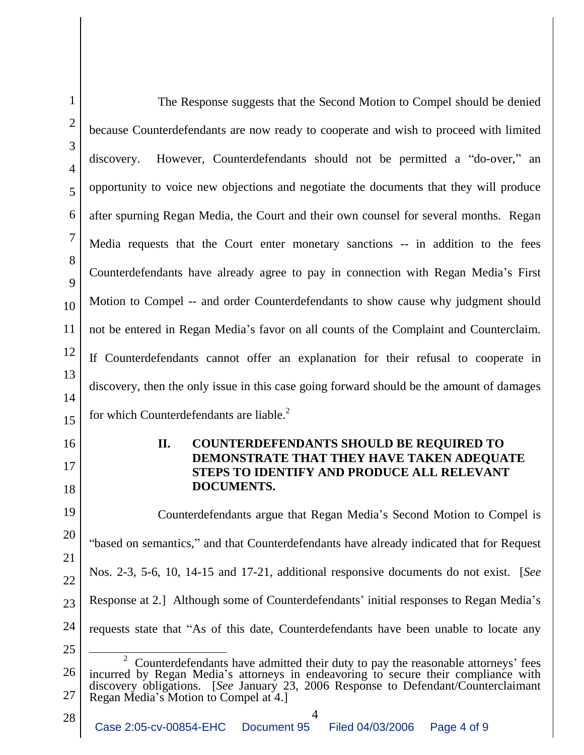| $\mathbf{1}$        | The Response suggests that the Second Motion to Compel should be denied                                                                                                                                                                                                                                   |
|---------------------|-----------------------------------------------------------------------------------------------------------------------------------------------------------------------------------------------------------------------------------------------------------------------------------------------------------|
| $\overline{2}$      | because Counterdefendants are now ready to cooperate and wish to proceed with limited                                                                                                                                                                                                                     |
| 3<br>$\overline{4}$ | However, Counterdefendants should not be permitted a "do-over," an<br>discovery.                                                                                                                                                                                                                          |
| 5                   | opportunity to voice new objections and negotiate the documents that they will produce                                                                                                                                                                                                                    |
| 6                   | after spurning Regan Media, the Court and their own counsel for several months. Regan                                                                                                                                                                                                                     |
| 7                   | Media requests that the Court enter monetary sanctions -- in addition to the fees                                                                                                                                                                                                                         |
| 8<br>9              | Counterdefendants have already agree to pay in connection with Regan Media's First                                                                                                                                                                                                                        |
| 10                  | Motion to Compel -- and order Counterdefendants to show cause why judgment should                                                                                                                                                                                                                         |
| 11                  | not be entered in Regan Media's favor on all counts of the Complaint and Counterclaim.                                                                                                                                                                                                                    |
| 12                  | If Counterdefendants cannot offer an explanation for their refusal to cooperate in                                                                                                                                                                                                                        |
| 13                  | discovery, then the only issue in this case going forward should be the amount of damages                                                                                                                                                                                                                 |
| 14                  |                                                                                                                                                                                                                                                                                                           |
| 15                  | for which Counterdefendants are liable. <sup>2</sup>                                                                                                                                                                                                                                                      |
| 16<br>17            | COUNTERDEFENDANTS SHOULD BE REQUIRED TO<br>II.<br>DEMONSTRATE THAT THEY HAVE TAKEN ADEQUATE<br>STEPS TO IDENTIFY AND PRODUCE ALL RELEVANT<br><b>DOCUMENTS.</b>                                                                                                                                            |
| 18<br>19            |                                                                                                                                                                                                                                                                                                           |
| 20                  | Counterdefendants argue that Regan Media's Second Motion to Compel is<br>"based on semantics," and that Counterdefendants have already indicated that for Request                                                                                                                                         |
| 21                  | Nos. 2-3, 5-6, 10, 14-15 and 17-21, additional responsive documents do not exist. [See                                                                                                                                                                                                                    |
| 22                  | Response at 2.] Although some of Counterdefendants' initial responses to Regan Media's                                                                                                                                                                                                                    |
| 23<br>24            | requests state that "As of this date, Counterdefendants have been unable to locate any                                                                                                                                                                                                                    |
| 25                  |                                                                                                                                                                                                                                                                                                           |
| 26<br>27            | 2<br>Counterdefendants have admitted their duty to pay the reasonable attorneys' fees<br>incurred by Regan Media's attorneys in endeavoring to secure their compliance with<br>discovery obligations. [See January 23, 2006 Response to Defendant/Counterclaimant<br>Regan Media's Motion to Compel at 4. |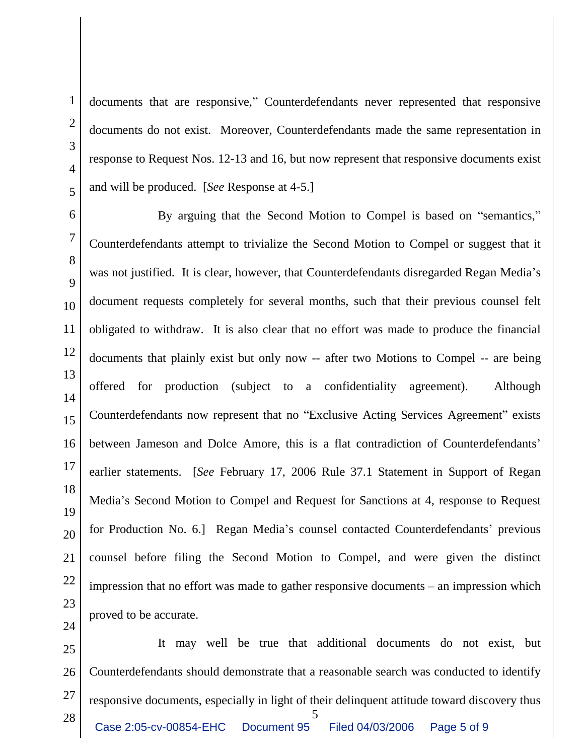1 2 3 4 5 6 7 documents that are responsive," Counterdefendants never represented that responsive documents do not exist. Moreover, Counterdefendants made the same representation in response to Request Nos. 12-13 and 16, but now represent that responsive documents exist and will be produced. [*See* Response at 4-5.] By arguing that the Second Motion to Compel is based on "semantics,"

8 9 10 11 12 13 14 15 16 17 18 19 20 21 22 23 Counterdefendants attempt to trivialize the Second Motion to Compel or suggest that it was not justified. It is clear, however, that Counterdefendants disregarded Regan Media's document requests completely for several months, such that their previous counsel felt obligated to withdraw. It is also clear that no effort was made to produce the financial documents that plainly exist but only now -- after two Motions to Compel -- are being offered for production (subject to a confidentiality agreement). Although Counterdefendants now represent that no "Exclusive Acting Services Agreement" exists between Jameson and Dolce Amore, this is a flat contradiction of Counterdefendants' earlier statements. [*See* February 17, 2006 Rule 37.1 Statement in Support of Regan Media's Second Motion to Compel and Request for Sanctions at 4, response to Request for Production No. 6.] Regan Media's counsel contacted Counterdefendants' previous counsel before filing the Second Motion to Compel, and were given the distinct impression that no effort was made to gather responsive documents – an impression which proved to be accurate.

5 25 26 27 28 It may well be true that additional documents do not exist, but Counterdefendants should demonstrate that a reasonable search was conducted to identify responsive documents, especially in light of their delinquent attitude toward discovery thus Case 2:05-cv-00854-EHC Document 95 Filed 04/03/2006 Page 5 of 9

24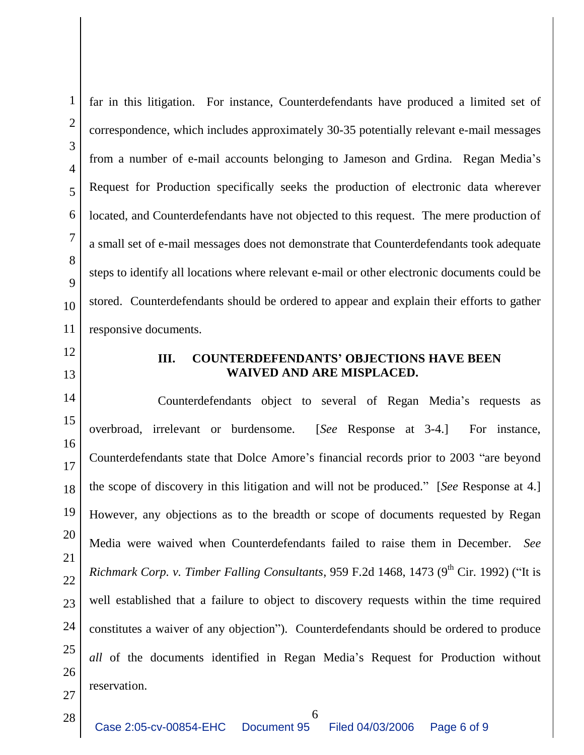1

far in this litigation. For instance, Counterdefendants have produced a limited set of correspondence, which includes approximately 30-35 potentially relevant e-mail messages from a number of e-mail accounts belonging to Jameson and Grdina. Regan Media's Request for Production specifically seeks the production of electronic data wherever located, and Counterdefendants have not objected to this request. The mere production of a small set of e-mail messages does not demonstrate that Counterdefendants took adequate steps to identify all locations where relevant e-mail or other electronic documents could be stored. Counterdefendants should be ordered to appear and explain their efforts to gather responsive documents.

## **III. COUNTERDEFENDANTS' OBJECTIONS HAVE BEEN WAIVED AND ARE MISPLACED.**

Counterdefendants object to several of Regan Media's requests as overbroad, irrelevant or burdensome. [*See* Response at 3-4.] For instance, Counterdefendants state that Dolce Amore's financial records prior to 2003 "are beyond the scope of discovery in this litigation and will not be produced." [*See* Response at 4.] However, any objections as to the breadth or scope of documents requested by Regan Media were waived when Counterdefendants failed to raise them in December. *See Richmark Corp. v. Timber Falling Consultants,* 959 F.2d 1468, 1473 (9<sup>th</sup> Cir. 1992) ("It is well established that a failure to object to discovery requests within the time required constitutes a waiver of any objection"). Counterdefendants should be ordered to produce *all* of the documents identified in Regan Media's Request for Production without reservation.

28

6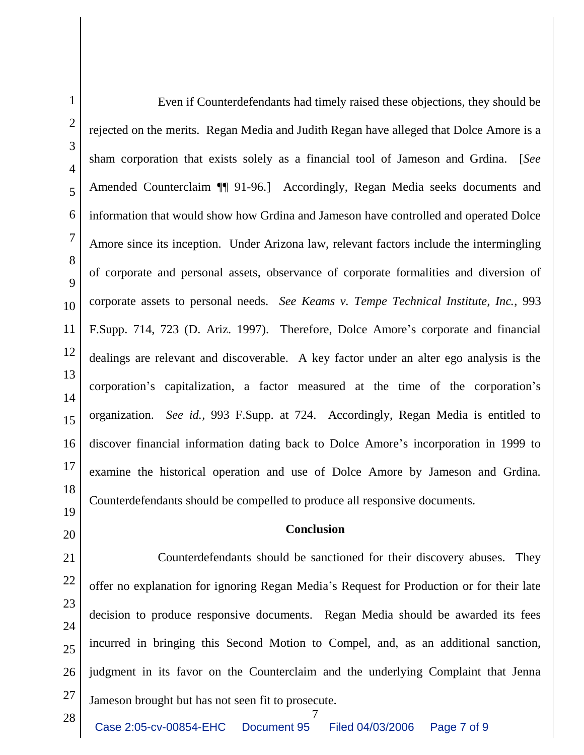1 2 3 4 5 6 7 8 9 10 11 12 13 14 15 16 17 18 19 Even if Counterdefendants had timely raised these objections, they should be rejected on the merits. Regan Media and Judith Regan have alleged that Dolce Amore is a sham corporation that exists solely as a financial tool of Jameson and Grdina. [*See*  Amended Counterclaim ¶¶ 91-96.] Accordingly, Regan Media seeks documents and information that would show how Grdina and Jameson have controlled and operated Dolce Amore since its inception. Under Arizona law, relevant factors include the intermingling of corporate and personal assets, observance of corporate formalities and diversion of corporate assets to personal needs. *See Keams v. Tempe Technical Institute, Inc.*, 993 F.Supp. 714, 723 (D. Ariz. 1997). Therefore, Dolce Amore's corporate and financial dealings are relevant and discoverable. A key factor under an alter ego analysis is the corporation's capitalization, a factor measured at the time of the corporation's organization. *See id.*, 993 F.Supp. at 724. Accordingly, Regan Media is entitled to discover financial information dating back to Dolce Amore's incorporation in 1999 to examine the historical operation and use of Dolce Amore by Jameson and Grdina. Counterdefendants should be compelled to produce all responsive documents.

## **Conclusion**

21 22 23 24 25 26 27 Counterdefendants should be sanctioned for their discovery abuses. They offer no explanation for ignoring Regan Media's Request for Production or for their late decision to produce responsive documents. Regan Media should be awarded its fees incurred in bringing this Second Motion to Compel, and, as an additional sanction, judgment in its favor on the Counterclaim and the underlying Complaint that Jenna Jameson brought but has not seen fit to prosecute.

28

20

7 Case 2:05-cv-00854-EHC Document 95 Filed 04/03/2006 Page 7 of 9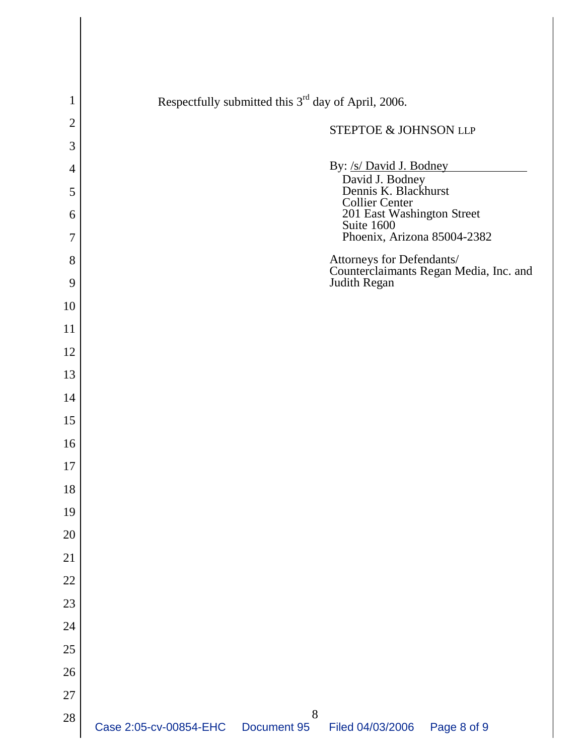| $\mathbf 1$    | Respectfully submitted this 3 <sup>rd</sup> day of April, 2006.                     |
|----------------|-------------------------------------------------------------------------------------|
| $\overline{2}$ | STEPTOE & JOHNSON LLP                                                               |
| 3              |                                                                                     |
| $\overline{4}$ | By: /s/ David J. Bodney<br>David J. Bodney<br>Dennis K. Blackhurst                  |
| 5<br>6         | <b>Collier Center</b><br>201 East Washington Street                                 |
| 7              | Suite 1600<br>Phoenix, Arizona 85004-2382                                           |
| 8              | Attorneys for Defendants/<br>Counterclaimants Regan Media, Inc. and<br>Judith Regan |
| 9              |                                                                                     |
| 10             |                                                                                     |
| 11             |                                                                                     |
| 12             |                                                                                     |
| 13             |                                                                                     |
| 14             |                                                                                     |
| 15             |                                                                                     |
| 16             |                                                                                     |
| 17             |                                                                                     |
| 18             |                                                                                     |
| 19             |                                                                                     |
| 20             |                                                                                     |
| 21             |                                                                                     |
| 22             |                                                                                     |
| 23             |                                                                                     |
| 24             |                                                                                     |
| 25             |                                                                                     |
| 26             |                                                                                     |
| $27\,$         |                                                                                     |
| 28             | 8<br>Case 2:05-cv-00854-EHC<br>Filed 04/03/2006<br>Page 8 of 9<br>Document 95       |